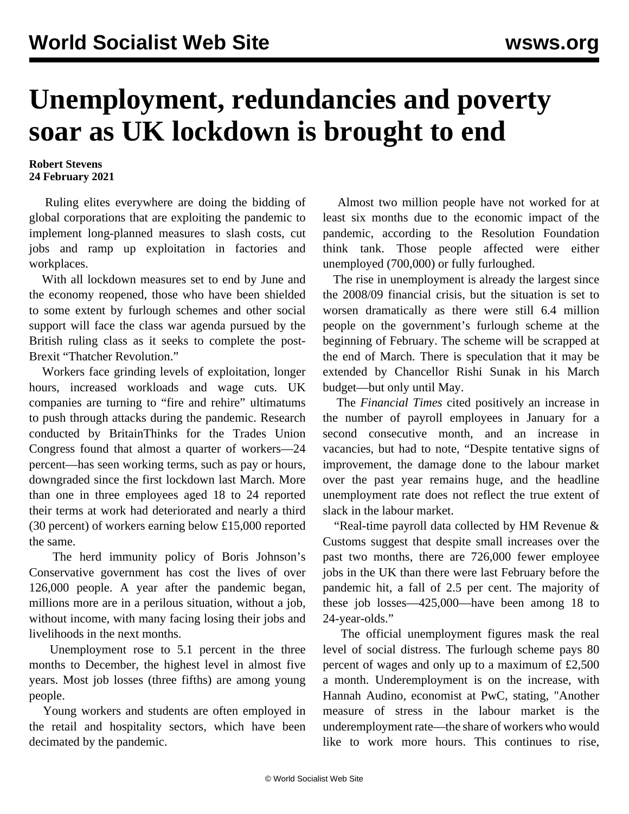## **Unemployment, redundancies and poverty soar as UK lockdown is brought to end**

## **Robert Stevens 24 February 2021**

 Ruling elites everywhere are doing the bidding of global corporations that are exploiting the pandemic to implement long-planned measures to slash costs, cut jobs and ramp up exploitation in factories and workplaces.

 With all lockdown measures set to end by June and the economy reopened, those who have been shielded to some extent by furlough schemes and other social support will face the class war agenda pursued by the British ruling class as it seeks to complete the post-Brexit "Thatcher Revolution."

 Workers face grinding levels of exploitation, longer hours, increased workloads and wage cuts. UK companies are turning to "fire and rehire" ultimatums to push through attacks during the pandemic. Research conducted by BritainThinks for the Trades Union Congress found that almost a quarter of workers—24 percent—has seen working terms, such as pay or hours, downgraded since the first lockdown last March. More than one in three employees aged 18 to 24 reported their terms at work had deteriorated and nearly a third (30 percent) of workers earning below £15,000 reported the same.

 The herd immunity policy of Boris Johnson's Conservative government has cost the lives of over 126,000 people. A year after the pandemic began, millions more are in a perilous situation, without a job, without income, with many facing losing their jobs and livelihoods in the next months.

 Unemployment rose to 5.1 percent in the three months to December, the highest level in almost five years. Most job losses (three fifths) are among young people.

 Young workers and students are often employed in the retail and hospitality sectors, which have been decimated by the pandemic.

 Almost two million people have not worked for at least six months due to the economic impact of the pandemic, according to the Resolution Foundation think tank. Those people affected were either unemployed (700,000) or fully furloughed.

 The rise in unemployment is already the largest since the 2008/09 financial crisis, but the situation is set to worsen dramatically as there were still 6.4 million people on the government's furlough scheme at the beginning of February. The scheme will be scrapped at the end of March. There is speculation that it may be extended by Chancellor Rishi Sunak in his March budget—but only until May.

 The *Financial Times* cited positively an increase in the number of payroll employees in January for a second consecutive month, and an increase in vacancies, but had to note, "Despite tentative signs of improvement, the damage done to the labour market over the past year remains huge, and the headline unemployment rate does not reflect the true extent of slack in the labour market.

 "Real-time payroll data collected by HM Revenue & Customs suggest that despite small increases over the past two months, there are 726,000 fewer employee jobs in the UK than there were last February before the pandemic hit, a fall of 2.5 per cent. The majority of these job losses—425,000—have been among 18 to 24-year-olds."

 The official unemployment figures mask the real level of social distress. The furlough scheme pays 80 percent of wages and only up to a maximum of £2,500 a month. Underemployment is on the increase, with Hannah Audino, economist at PwC, stating, "Another measure of stress in the labour market is the underemployment rate—the share of workers who would like to work more hours. This continues to rise,